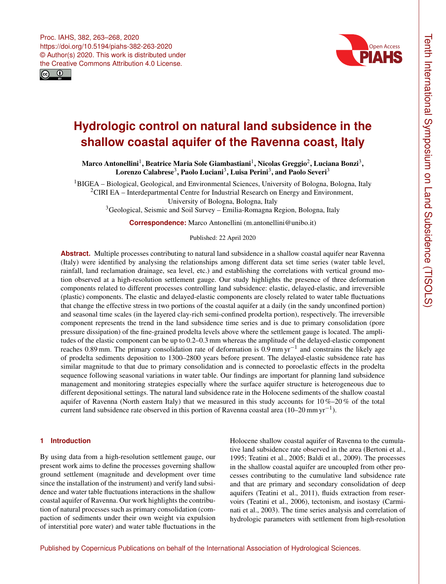



# **Hydrologic control on natural land subsidence in the shallow coastal aquifer of the Ravenna coast, Italy**

Marco Antonellini<sup>[1](#page-0-0)</sup>, Beatrice Maria Sole Giambastiani<sup>1</sup>, Nicolas Greggio<sup>[2](#page-0-0)</sup>, Luciana Bonzi<sup>[3](#page-0-0)</sup>, Lorenzo Calabrese<sup>[3](#page-0-0)</sup>, Paolo Luciani<sup>3</sup>, Luisa Perini<sup>3</sup>, and Paolo Severi<sup>3</sup>

<sup>1</sup>BIGEA – Biological, Geological, and Environmental Sciences, University of Bologna, Bologna, Italy <sup>2</sup>CIRI EA – Interdepartmental Centre for Industrial Research on Energy and Environment, University of Bologna, Bologna, Italy

<sup>3</sup>Geological, Seismic and Soil Survey – Emilia-Romagna Region, Bologna, Italy

**Correspondence:** Marco Antonellini (m.antonellini@unibo.it)

Published: 22 April 2020

**Abstract.** Multiple processes contributing to natural land subsidence in a shallow coastal aquifer near Ravenna (Italy) were identified by analysing the relationships among different data set time series (water table level, rainfall, land reclamation drainage, sea level, etc.) and establishing the correlations with vertical ground motion observed at a high-resolution settlement gauge. Our study highlights the presence of three deformation components related to different processes controlling land subsidence: elastic, delayed-elastic, and irreversible (plastic) components. The elastic and delayed-elastic components are closely related to water table fluctuations that change the effective stress in two portions of the coastal aquifer at a daily (in the sandy unconfined portion) and seasonal time scales (in the layered clay-rich semi-confined prodelta portion), respectively. The irreversible component represents the trend in the land subsidence time series and is due to primary consolidation (pore pressure dissipation) of the fine-grained prodelta levels above where the settlement gauge is located. The amplitudes of the elastic component can be up to 0.2–0.3 mm whereas the amplitude of the delayed-elastic component reaches 0.89 mm. The primary consolidation rate of deformation is 0.9 mm yr−<sup>1</sup> and constrains the likely age of prodelta sediments deposition to 1300–2800 years before present. The delayed-elastic subsidence rate has similar magnitude to that due to primary consolidation and is connected to poroelastic effects in the prodelta sequence following seasonal variations in water table. Our findings are important for planning land subsidence management and monitoring strategies especially where the surface aquifer structure is heterogeneous due to different depositional settings. The natural land subsidence rate in the Holocene sediments of the shallow coastal aquifer of Ravenna (North eastern Italy) that we measured in this study accounts for  $10\% - 20\%$  of the total current land subsidence rate observed in this portion of Ravenna coastal area (10–20 mm yr−<sup>1</sup> ).

#### <span id="page-0-0"></span>**1 Introduction**

By using data from a high-resolution settlement gauge, our present work aims to define the processes governing shallow ground settlement (magnitude and development over time since the installation of the instrument) and verify land subsidence and water table fluctuations interactions in the shallow coastal aquifer of Ravenna. Our work highlights the contribution of natural processes such as primary consolidation (compaction of sediments under their own weight via expulsion of interstitial pore water) and water table fluctuations in the Holocene shallow coastal aquifer of Ravenna to the cumulative land subsidence rate observed in the area (Bertoni et al., 1995; Teatini et al., 2005; Baldi et al., 2009). The processes in the shallow coastal aquifer are uncoupled from other processes contributing to the cumulative land subsidence rate and that are primary and secondary consolidation of deep aquifers (Teatini et al., 2011), fluids extraction from reservoirs (Teatini et al., 2006), tectonism, and isostasy (Carminati et al., 2003). The time series analysis and correlation of hydrologic parameters with settlement from high-resolution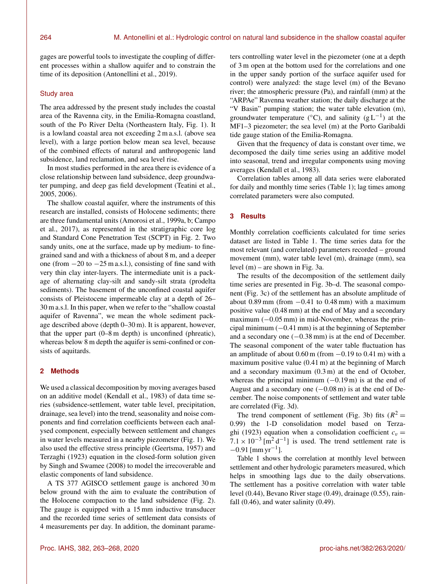gages are powerful tools to investigate the coupling of different processes within a shallow aquifer and to constrain the time of its deposition (Antonellini et al., 2019).

#### Study area

The area addressed by the present study includes the coastal area of the Ravenna city, in the Emilia-Romagna coastland, south of the Po River Delta (Northeastern Italy, Fig. 1). It is a lowland coastal area not exceeding 2 m a.s.l. (above sea level), with a large portion below mean sea level, because of the combined effects of natural and anthropogenic land subsidence, land reclamation, and sea level rise.

In most studies performed in the area there is evidence of a close relationship between land subsidence, deep groundwater pumping, and deep gas field development (Teatini et al., 2005, 2006).

The shallow coastal aquifer, where the instruments of this research are installed, consists of Holocene sediments; there are three fundamental units (Amorosi et al., 1999a, b; Campo et al., 2017), as represented in the stratigraphic core log and Standard Cone Penetration Test (SCPT) in Fig. 2. Two sandy units, one at the surface, made up by medium- to finegrained sand and with a thickness of about 8 m, and a deeper one (from −20 to −25 m a.s.l.), consisting of fine sand with very thin clay inter-layers. The intermediate unit is a package of alternating clay-silt and sandy-silt strata (prodelta sediments). The basement of the unconfined coastal aquifer consists of Pleistocene impermeable clay at a depth of 26– 30 m a.s.l. In this paper, when we refer to the "shallow coastal aquifer of Ravenna", we mean the whole sediment package described above (depth 0–30 m). It is apparent, however, that the upper part (0–8 m depth) is unconfined (phreatic), whereas below 8 m depth the aquifer is semi-confined or consists of aquitards.

## **2 Methods**

We used a classical decomposition by moving averages based on an additive model (Kendall et al., 1983) of data time series (subsidence-settlement, water table level, precipitation, drainage, sea level) into the trend, seasonality and noise components and find correlation coefficients between each analysed component, especially between settlement and changes in water levels measured in a nearby piezometer (Fig. 1). We also used the effective stress principle (Geertsma, 1957) and Terzaghi (1923) equation in the closed-form solution given by Singh and Swamee (2008) to model the irrecoverable and elastic components of land subsidence.

A TS 377 AGISCO settlement gauge is anchored 30 m below ground with the aim to evaluate the contribution of the Holocene compaction to the land subsidence (Fig. 2). The gauge is equipped with a 15 mm inductive transducer and the recorded time series of settlement data consists of 4 measurements per day. In addition, the dominant parameters controlling water level in the piezometer (one at a depth of 3 m open at the bottom used for the correlations and one in the upper sandy portion of the surface aquifer used for control) were analyzed: the stage level (m) of the Bevano river; the atmospheric pressure (Pa), and rainfall (mm) at the "ARPAe" Ravenna weather station; the daily discharge at the "V Basin" pumping station; the water table elevation (m), groundwater temperature ( $°C$ ), and salinity (g L<sup>-1</sup>) at the MF1–3 piezometer; the sea level (m) at the Porto Garibaldi tide gauge station of the Emilia-Romagna.

Given that the frequency of data is constant over time, we decomposed the daily time series using an additive model into seasonal, trend and irregular components using moving averages (Kendall et al., 1983).

Correlation tables among all data series were elaborated for daily and monthly time series (Table 1); lag times among correlated parameters were also computed.

#### **3 Results**

Monthly correlation coefficients calculated for time series dataset are listed in Table 1. The time series data for the most relevant (and correlated) parameters recorded – ground movement (mm), water table level (m), drainage (mm), sea level (m) – are shown in Fig. 3a.

The results of the decomposition of the settlement daily time series are presented in Fig. 3b–d. The seasonal component (Fig. 3c) of the settlement has an absolute amplitude of about  $0.89$  mm (from  $-0.41$  to  $0.48$  mm) with a maximum positive value (0.48 mm) at the end of May and a secondary maximum  $(-0.05 \text{ mm})$  in mid-November, whereas the principal minimum  $(-0.41 \text{ mm})$  is at the beginning of September and a secondary one (−0.38 mm) is at the end of December. The seasonal component of the water table fluctuation has an amplitude of about  $0.60$  m (from  $-0.19$  to  $0.41$  m) with a maximum positive value (0.41 m) at the beginning of March and a secondary maximum (0.3 m) at the end of October, whereas the principal minimum  $(-0.19 \text{ m})$  is at the end of August and a secondary one  $(-0.08 \text{ m})$  is at the end of December. The noise components of settlement and water table are correlated (Fig. 3d).

The trend component of settlement (Fig. 3b) fits  $(R^2 =$ 0.99) the 1-D consolidation model based on Terzaghi (1923) equation when a consolidation coefficient  $c_v =$  $7.1 \times 10^{-3}$  [m<sup>2</sup> d<sup>-1</sup>] is used. The trend settlement rate is  $-0.91$  [mm yr<sup>-1</sup>].

Table 1 shows the correlation at monthly level between settlement and other hydrologic parameters measured, which helps in smoothing lags due to the daily observations. The settlement has a positive correlation with water table level (0.44), Bevano River stage (0.49), drainage (0.55), rainfall  $(0.46)$ , and water salinity  $(0.49)$ .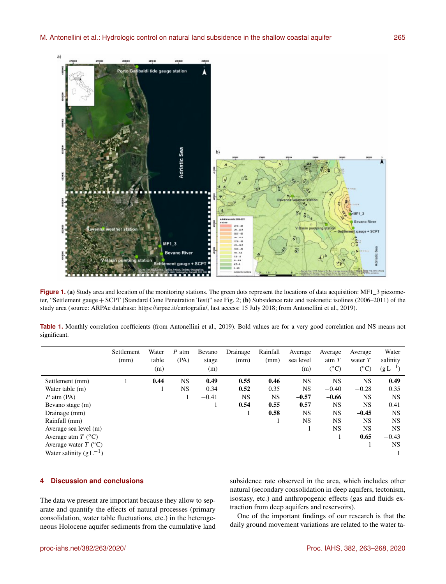

**Figure 1.** (a) Study area and location of the monitoring stations. The green dots represent the locations of data acquisition: MF1\_3 piezometer, "Settlement gauge + SCPT (Standard Cone Penetration Test)" see Fig. 2; (b) Subsidence rate and isokinetic isolines (2006–2011) of the study area (source: ARPAe database: [https://arpae.it/cartografia/,](https://arpae.it/cartografia/) last access: 15 July 2018; from Antonellini et al., 2019).

| Table 1. Monthly correlation coefficients (from Antonellini et al., 2019). Bold values are for a very good correlation and NS means not |  |  |  |  |  |  |  |  |
|-----------------------------------------------------------------------------------------------------------------------------------------|--|--|--|--|--|--|--|--|
| significant.                                                                                                                            |  |  |  |  |  |  |  |  |

|                                     | Settlement<br>(mm) | Water<br>table<br>(m) | $P$ atm<br>(PA) | Bevano<br>stage<br>(m) | Drainage<br>(mm) | Rainfall<br>(mm) | Average<br>sea level<br>(m) | Average<br>atm $T$<br>$(^{\circ}C)$ | Average<br>water $T$<br>$(^{\circ}C)$ | Water<br>salinity<br>$(g L^{-1})$ |
|-------------------------------------|--------------------|-----------------------|-----------------|------------------------|------------------|------------------|-----------------------------|-------------------------------------|---------------------------------------|-----------------------------------|
| Settlement (mm)                     |                    | 0.44                  | <b>NS</b>       | 0.49                   | 0.55             | 0.46             | <b>NS</b>                   | <b>NS</b>                           | <b>NS</b>                             | 0.49                              |
| Water table (m)                     |                    |                       | <b>NS</b>       | 0.34                   | 0.52             | 0.35             | NS.                         | $-0.40$                             | $-0.28$                               | 0.35                              |
| $P$ atm (PA)                        |                    |                       |                 | $-0.41$                | <b>NS</b>        | <b>NS</b>        | $-0.57$                     | $-0.66$                             | <b>NS</b>                             | <b>NS</b>                         |
| Bevano stage (m)                    |                    |                       |                 |                        | 0.54             | 0.55             | 0.57                        | <b>NS</b>                           | NS.                                   | 0.41                              |
| Drainage (mm)                       |                    |                       |                 |                        |                  | 0.58             | NS.                         | <b>NS</b>                           | $-0.45$                               | <b>NS</b>                         |
| Rainfall (mm)                       |                    |                       |                 |                        |                  |                  | <b>NS</b>                   | NS.                                 | <b>NS</b>                             | <b>NS</b>                         |
| Average sea level (m)               |                    |                       |                 |                        |                  |                  |                             | <b>NS</b>                           | <b>NS</b>                             | <b>NS</b>                         |
| Average atm $T$ ( ${}^{\circ}$ C)   |                    |                       |                 |                        |                  |                  |                             |                                     | 0.65                                  | $-0.43$                           |
| Average water $T$ ( ${}^{\circ}$ C) |                    |                       |                 |                        |                  |                  |                             |                                     |                                       | NS.                               |
| Water salinity $(g L^{-1})$         |                    |                       |                 |                        |                  |                  |                             |                                     |                                       |                                   |

## **4 Discussion and conclusions**

The data we present are important because they allow to separate and quantify the effects of natural processes (primary consolidation, water table fluctuations, etc.) in the heterogeneous Holocene aquifer sediments from the cumulative land subsidence rate observed in the area, which includes other natural (secondary consolidation in deep aquifers, tectonism, isostasy, etc.) and anthropogenic effects (gas and fluids extraction from deep aquifers and reservoirs).

One of the important findings of our research is that the daily ground movement variations are related to the water ta-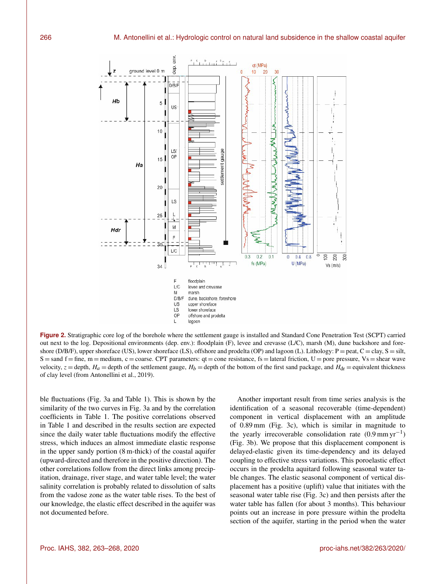

**Figure 2.** Stratigraphic core log of the borehole where the settlement gauge is installed and Standard Cone Penetration Test (SCPT) carried out next to the log. Depositional environments (dep. env.): floodplain (F), levee and crevasse (L/C), marsh (M), dune backshore and foreshore (D/B/F), upper shoreface (US), lower shoreface (LS), offshore and prodelta (OP) and lagoon (L). Lithology:  $P =$  peat,  $C =$  clay,  $S =$  silt,  $S =$ sand  $f =$  fine, m = medium, c = coarse. CPT parameters: qt = cone resistance, fs = lateral friction, U = pore pressure, Vs = shear wave velocity,  $z =$  depth,  $H_a =$  depth of the settlement gauge,  $H_b =$  depth of the bottom of the first sand package, and  $H_{dr} =$  equivalent thickness of clay level (from Antonellini et al., 2019).

ble fluctuations (Fig. 3a and Table 1). This is shown by the similarity of the two curves in Fig. 3a and by the correlation coefficients in Table 1. The positive correlations observed in Table 1 and described in the results section are expected since the daily water table fluctuations modify the effective stress, which induces an almost immediate elastic response in the upper sandy portion (8 m-thick) of the coastal aquifer (upward-directed and therefore in the positive direction). The other correlations follow from the direct links among precipitation, drainage, river stage, and water table level; the water salinity correlation is probably related to dissolution of salts from the vadose zone as the water table rises. To the best of our knowledge, the elastic effect described in the aquifer was not documented before.

Another important result from time series analysis is the identification of a seasonal recoverable (time-dependent) component in vertical displacement with an amplitude of 0.89 mm (Fig. 3c), which is similar in magnitude to the yearly irrecoverable consolidation rate (0.9 mm yr−<sup>1</sup> ) (Fig. 3b). We propose that this displacement component is delayed-elastic given its time-dependency and its delayed coupling to effective stress variations. This poroelastic effect occurs in the prodelta aquitard following seasonal water table changes. The elastic seasonal component of vertical displacement has a positive (uplift) value that initiates with the seasonal water table rise (Fig. 3c) and then persists after the water table has fallen (for about 3 months). This behaviour points out an increase in pore pressure within the prodelta section of the aquifer, starting in the period when the water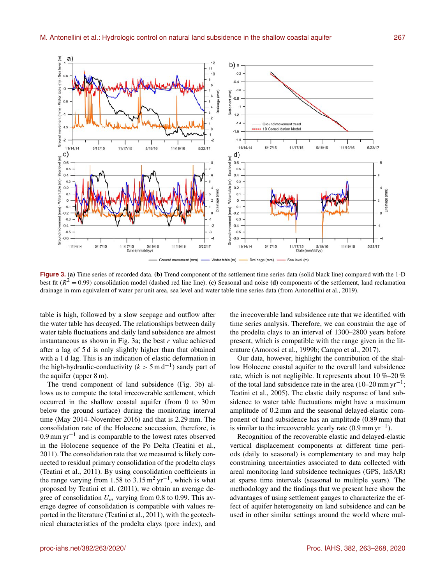

**Figure 3.** (a) Time series of recorded data. (b) Trend component of the settlement time series data (solid black line) compared with the 1-D best fit ( $R^2 = 0.99$ ) consolidation model (dashed red line line). (c) Seasonal and noise (d) components of the settlement, land reclamation drainage in mm equivalent of water per unit area, sea level and water table time series data (from Antonellini et al., 2019).

table is high, followed by a slow seepage and outflow after the water table has decayed. The relationships between daily water table fluctuations and daily land subsidence are almost instantaneous as shown in Fig. 3a; the best  $r$  value achieved after a lag of 5 d is only slightly higher than that obtained with a 1 d lag. This is an indication of elastic deformation in the high-hydraulic-conductivity ( $k > 5$  m d<sup>-1</sup>) sandy part of the aquifer (upper 8 m).

The trend component of land subsidence (Fig. 3b) allows us to compute the total irrecoverable settlement, which occurred in the shallow coastal aquifer (from 0 to 30 m below the ground surface) during the monitoring interval time (May 2014–November 2016) and that is 2.29 mm. The consolidation rate of the Holocene succession, therefore, is 0.9 mm  $yr^{-1}$  and is comparable to the lowest rates observed in the Holocene sequence of the Po Delta (Teatini et al., 2011). The consolidation rate that we measured is likely connected to residual primary consolidation of the prodelta clays (Teatini et al., 2011). By using consolidation coefficients in the range varying from 1.58 to 3.15 m<sup>2</sup> yr<sup>-1</sup>, which is what proposed by Teatini et al. (2011), we obtain an average degree of consolidation  $U_m$  varying from 0.8 to 0.99. This average degree of consolidation is compatible with values reported in the literature (Teatini et al., 2011), with the geotechnical characteristics of the prodelta clays (pore index), and

the irrecoverable land subsidence rate that we identified with time series analysis. Therefore, we can constrain the age of the prodelta clays to an interval of 1300–2800 years before present, which is compatible with the range given in the literature (Amorosi et al., 1999b; Campo et al., 2017).

Our data, however, highlight the contribution of the shallow Holocene coastal aquifer to the overall land subsidence rate, which is not negligible. It represents about 10 %–20 % of the total land subsidence rate in the area (10–20 mm yr−<sup>1</sup> ; Teatini et al., 2005). The elastic daily response of land subsidence to water table fluctuations might have a maximum amplitude of 0.2 mm and the seasonal delayed-elastic component of land subsidence has an amplitude (0.89 mm) that is similar to the irrecoverable yearly rate  $(0.9 \text{ mm yr}^{-1})$ .

Recognition of the recoverable elastic and delayed-elastic vertical displacement components at different time periods (daily to seasonal) is complementary to and may help constraining uncertainties associated to data collected with areal monitoring land subsidence techniques (GPS, InSAR) at sparse time intervals (seasonal to multiple years). The methodology and the findings that we present here show the advantages of using settlement gauges to characterize the effect of aquifer heterogeneity on land subsidence and can be used in other similar settings around the world where mul